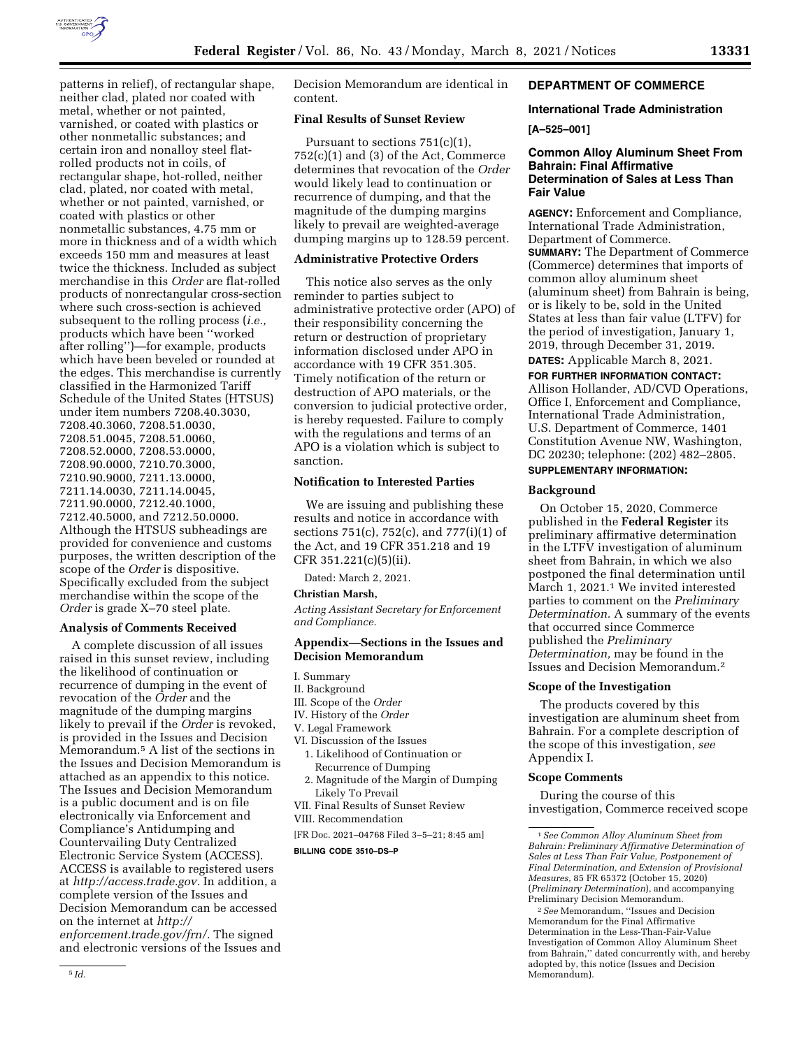

patterns in relief), of rectangular shape, neither clad, plated nor coated with metal, whether or not painted, varnished, or coated with plastics or other nonmetallic substances; and certain iron and nonalloy steel flatrolled products not in coils, of rectangular shape, hot-rolled, neither clad, plated, nor coated with metal, whether or not painted, varnished, or coated with plastics or other nonmetallic substances, 4.75 mm or more in thickness and of a width which exceeds 150 mm and measures at least twice the thickness. Included as subject merchandise in this *Order* are flat-rolled products of nonrectangular cross-section where such cross-section is achieved subsequent to the rolling process (*i.e.,*  products which have been ''worked after rolling'')—for example, products which have been beveled or rounded at the edges. This merchandise is currently classified in the Harmonized Tariff Schedule of the United States (HTSUS) under item numbers 7208.40.3030, 7208.40.3060, 7208.51.0030, 7208.51.0045, 7208.51.0060, 7208.52.0000, 7208.53.0000, 7208.90.0000, 7210.70.3000, 7210.90.9000, 7211.13.0000, 7211.14.0030, 7211.14.0045, 7211.90.0000, 7212.40.1000, 7212.40.5000, and 7212.50.0000. Although the HTSUS subheadings are provided for convenience and customs purposes, the written description of the scope of the *Order* is dispositive. Specifically excluded from the subject merchandise within the scope of the *Order* is grade X–70 steel plate.

## **Analysis of Comments Received**

A complete discussion of all issues raised in this sunset review, including the likelihood of continuation or recurrence of dumping in the event of revocation of the *Order* and the magnitude of the dumping margins likely to prevail if the *Order* is revoked, is provided in the Issues and Decision Memorandum.5 A list of the sections in the Issues and Decision Memorandum is attached as an appendix to this notice. The Issues and Decision Memorandum is a public document and is on file electronically via Enforcement and Compliance's Antidumping and Countervailing Duty Centralized Electronic Service System (ACCESS). ACCESS is available to registered users at *[http://access.trade.gov.](http://access.trade.gov)* In addition, a complete version of the Issues and Decision Memorandum can be accessed on the internet at *[http://](http://enforcement.trade.gov/frn/) [enforcement.trade.gov/frn/.](http://enforcement.trade.gov/frn/)* The signed and electronic versions of the Issues and Decision Memorandum are identical in content.

# **Final Results of Sunset Review**

Pursuant to sections 751(c)(1),  $752(c)(1)$  and  $(3)$  of the Act, Commerce determines that revocation of the *Order*  would likely lead to continuation or recurrence of dumping, and that the magnitude of the dumping margins likely to prevail are weighted-average dumping margins up to 128.59 percent.

## **Administrative Protective Orders**

This notice also serves as the only reminder to parties subject to administrative protective order (APO) of their responsibility concerning the return or destruction of proprietary information disclosed under APO in accordance with 19 CFR 351.305. Timely notification of the return or destruction of APO materials, or the conversion to judicial protective order, is hereby requested. Failure to comply with the regulations and terms of an APO is a violation which is subject to sanction.

### **Notification to Interested Parties**

We are issuing and publishing these results and notice in accordance with sections 751(c), 752(c), and 777(i)(1) of the Act, and 19 CFR 351.218 and 19 CFR 351.221(c)(5)(ii).

Dated: March 2, 2021.

### **Christian Marsh,**

*Acting Assistant Secretary for Enforcement and Compliance.* 

### **Appendix—Sections in the Issues and Decision Memorandum**

I. Summary

- II. Background
- III. Scope of the *Order*
- IV. History of the *Order*
- V. Legal Framework
- VI. Discussion of the Issues
	- 1. Likelihood of Continuation or Recurrence of Dumping
	- 2. Magnitude of the Margin of Dumping Likely To Prevail
- VII. Final Results of Sunset Review

# VIII. Recommendation

[FR Doc. 2021–04768 Filed 3–5–21; 8:45 am]

**BILLING CODE 3510–DS–P** 

## **DEPARTMENT OF COMMERCE**

# **International Trade Administration**

**[A–525–001]** 

## **Common Alloy Aluminum Sheet From Bahrain: Final Affirmative Determination of Sales at Less Than Fair Value**

**AGENCY:** Enforcement and Compliance, International Trade Administration, Department of Commerce. **SUMMARY:** The Department of Commerce (Commerce) determines that imports of common alloy aluminum sheet (aluminum sheet) from Bahrain is being, or is likely to be, sold in the United States at less than fair value (LTFV) for the period of investigation, January 1, 2019, through December 31, 2019.

**DATES:** Applicable March 8, 2021.

**FOR FURTHER INFORMATION CONTACT:**  Allison Hollander, AD/CVD Operations, Office I, Enforcement and Compliance, International Trade Administration, U.S. Department of Commerce, 1401 Constitution Avenue NW, Washington, DC 20230; telephone: (202) 482–2805.

# **SUPPLEMENTARY INFORMATION:**

## **Background**

On October 15, 2020, Commerce published in the **Federal Register** its preliminary affirmative determination in the LTFV investigation of aluminum sheet from Bahrain, in which we also postponed the final determination until March 1, 2021.1 We invited interested parties to comment on the *Preliminary Determination.* A summary of the events that occurred since Commerce published the *Preliminary Determination,* may be found in the Issues and Decision Memorandum.2

### **Scope of the Investigation**

The products covered by this investigation are aluminum sheet from Bahrain. For a complete description of the scope of this investigation, *see*  Appendix I.

## **Scope Comments**

During the course of this investigation, Commerce received scope

2*See* Memorandum, ''Issues and Decision Memorandum for the Final Affirmative Determination in the Less-Than-Fair-Value Investigation of Common Alloy Aluminum Sheet from Bahrain,'' dated concurrently with, and hereby adopted by, this notice (Issues and Decision Memorandum).

<sup>1</sup>*See Common Alloy Aluminum Sheet from Bahrain: Preliminary Affirmative Determination of Sales at Less Than Fair Value, Postponement of Final Determination, and Extension of Provisional Measures,* 85 FR 65372 (October 15, 2020) (*Preliminary Determination*), and accompanying Preliminary Decision Memorandum.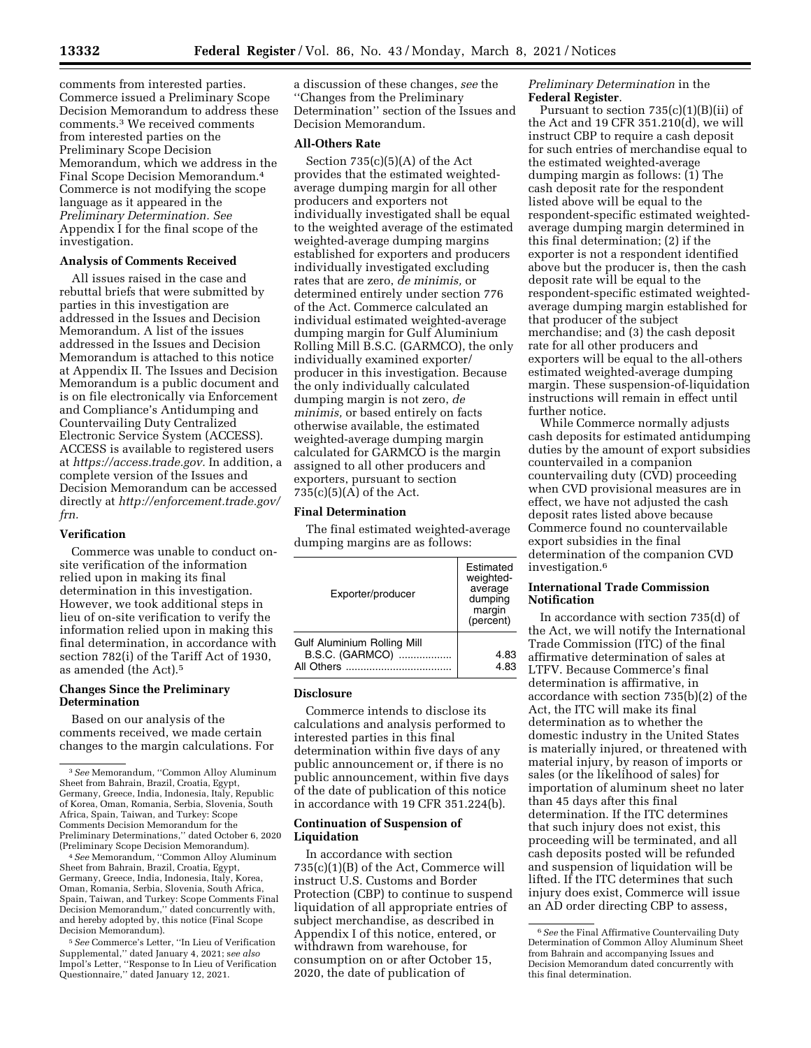comments from interested parties. Commerce issued a Preliminary Scope Decision Memorandum to address these comments.3 We received comments from interested parties on the Preliminary Scope Decision Memorandum, which we address in the Final Scope Decision Memorandum.4 Commerce is not modifying the scope language as it appeared in the *Preliminary Determination. See*  Appendix I for the final scope of the investigation.

#### **Analysis of Comments Received**

All issues raised in the case and rebuttal briefs that were submitted by parties in this investigation are addressed in the Issues and Decision Memorandum. A list of the issues addressed in the Issues and Decision Memorandum is attached to this notice at Appendix II. The Issues and Decision Memorandum is a public document and is on file electronically via Enforcement and Compliance's Antidumping and Countervailing Duty Centralized Electronic Service System (ACCESS). ACCESS is available to registered users at *[https://access.trade.gov.](https://access.trade.gov)* In addition, a complete version of the Issues and Decision Memorandum can be accessed directly at *[http://enforcement.trade.gov/](http://enforcement.trade.gov/frn)  [frn.](http://enforcement.trade.gov/frn)* 

#### **Verification**

Commerce was unable to conduct onsite verification of the information relied upon in making its final determination in this investigation. However, we took additional steps in lieu of on-site verification to verify the information relied upon in making this final determination, in accordance with section 782(i) of the Tariff Act of 1930, as amended (the Act).5

### **Changes Since the Preliminary Determination**

Based on our analysis of the comments received, we made certain changes to the margin calculations. For

4*See* Memorandum, ''Common Alloy Aluminum Sheet from Bahrain, Brazil, Croatia, Egypt, Germany, Greece, India, Indonesia, Italy, Korea, Oman, Romania, Serbia, Slovenia, South Africa, Spain, Taiwan, and Turkey: Scope Comments Final Decision Memorandum,'' dated concurrently with, and hereby adopted by, this notice (Final Scope Decision Memorandum).

5*See* Commerce's Letter, ''In Lieu of Verification Supplemental,'' dated January 4, 2021; s*ee also*  Impol's Letter, ''Response to In Lieu of Verification Questionnaire,'' dated January 12, 2021.

a discussion of these changes, *see* the ''Changes from the Preliminary Determination'' section of the Issues and Decision Memorandum.

### **All-Others Rate**

Section  $735(c)(5)(A)$  of the Act provides that the estimated weightedaverage dumping margin for all other producers and exporters not individually investigated shall be equal to the weighted average of the estimated weighted-average dumping margins established for exporters and producers individually investigated excluding rates that are zero, *de minimis,* or determined entirely under section 776 of the Act. Commerce calculated an individual estimated weighted-average dumping margin for Gulf Aluminium Rolling Mill B.S.C. (GARMCO), the only individually examined exporter/ producer in this investigation. Because the only individually calculated dumping margin is not zero, *de minimis,* or based entirely on facts otherwise available, the estimated weighted-average dumping margin calculated for GARMCO is the margin assigned to all other producers and exporters, pursuant to section  $735(c)(5)(A)$  of the Act.

#### **Final Determination**

The final estimated weighted-average dumping margins are as follows:

| Exporter/producer                                            | Estimated<br>weighted-<br>average<br>dumping<br>margin<br>(percent) |
|--------------------------------------------------------------|---------------------------------------------------------------------|
| Gulf Aluminium Rolling Mill<br>B.S.C. (GARMCO)<br>All Others | 4.83<br>4.83                                                        |

#### **Disclosure**

Commerce intends to disclose its calculations and analysis performed to interested parties in this final determination within five days of any public announcement or, if there is no public announcement, within five days of the date of publication of this notice in accordance with 19 CFR 351.224(b).

### **Continuation of Suspension of Liquidation**

In accordance with section 735(c)(1)(B) of the Act, Commerce will instruct U.S. Customs and Border Protection (CBP) to continue to suspend liquidation of all appropriate entries of subject merchandise, as described in Appendix I of this notice, entered, or withdrawn from warehouse, for consumption on or after October 15, 2020, the date of publication of

*Preliminary Determination* in the **Federal Register**.

Pursuant to section 735(c)(1)(B)(ii) of the Act and 19 CFR 351.210(d), we will instruct CBP to require a cash deposit for such entries of merchandise equal to the estimated weighted-average dumping margin as follows: (1) The cash deposit rate for the respondent listed above will be equal to the respondent-specific estimated weightedaverage dumping margin determined in this final determination; (2) if the exporter is not a respondent identified above but the producer is, then the cash deposit rate will be equal to the respondent-specific estimated weightedaverage dumping margin established for that producer of the subject merchandise; and (3) the cash deposit rate for all other producers and exporters will be equal to the all-others estimated weighted-average dumping margin. These suspension-of-liquidation instructions will remain in effect until further notice.

While Commerce normally adjusts cash deposits for estimated antidumping duties by the amount of export subsidies countervailed in a companion countervailing duty (CVD) proceeding when CVD provisional measures are in effect, we have not adjusted the cash deposit rates listed above because Commerce found no countervailable export subsidies in the final determination of the companion CVD investigation.6

## **International Trade Commission Notification**

In accordance with section 735(d) of the Act, we will notify the International Trade Commission (ITC) of the final affirmative determination of sales at LTFV. Because Commerce's final determination is affirmative, in accordance with section 735(b)(2) of the Act, the ITC will make its final determination as to whether the domestic industry in the United States is materially injured, or threatened with material injury, by reason of imports or sales (or the likelihood of sales) for importation of aluminum sheet no later than 45 days after this final determination. If the ITC determines that such injury does not exist, this proceeding will be terminated, and all cash deposits posted will be refunded and suspension of liquidation will be lifted. If the ITC determines that such injury does exist, Commerce will issue an AD order directing CBP to assess,

<sup>3</sup>*See* Memorandum, ''Common Alloy Aluminum Sheet from Bahrain, Brazil, Croatia, Egypt, Germany, Greece, India, Indonesia, Italy, Republic of Korea, Oman, Romania, Serbia, Slovenia, South Africa, Spain, Taiwan, and Turkey: Scope Comments Decision Memorandum for the Preliminary Determinations,'' dated October 6, 2020 (Preliminary Scope Decision Memorandum).

<sup>6</sup>*See* the Final Affirmative Countervailing Duty Determination of Common Alloy Aluminum Sheet from Bahrain and accompanying Issues and Decision Memorandum dated concurrently with this final determination.